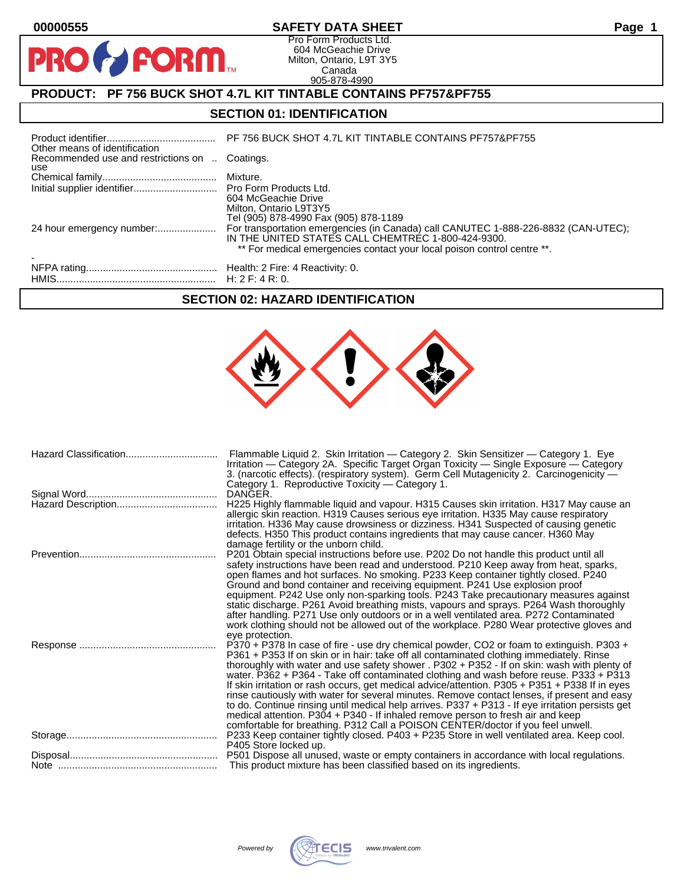$\bullet$ 

PF

## **00000555 SAFETY DATA SHEET Page 1**

Pro Form Products Ltd. 604 McGeachie Drive Milton, Ontario, L9T 3Y5 Canada 905-878-4990

## **PRODUCT: PF 756 BUCK SHOT 4.7L KIT TINTABLE CONTAINS PF757&PF755**

**FORM.** 

## **SECTION 01: IDENTIFICATION**

| Other means of identification                         | PF 756 BUCK SHOT 4.7L KIT TINTABLE CONTAINS PF757&PF755                                                                                                                                                             |
|-------------------------------------------------------|---------------------------------------------------------------------------------------------------------------------------------------------------------------------------------------------------------------------|
| Recommended use and restrictions on  Coatings.<br>use |                                                                                                                                                                                                                     |
|                                                       |                                                                                                                                                                                                                     |
|                                                       | 604 McGeachie Drive<br>Milton, Ontario L9T3Y5<br>Tel (905) 878-4990 Fax (905) 878-1189                                                                                                                              |
| 24 hour emergency number:                             | For transportation emergencies (in Canada) call CANUTEC 1-888-226-8832 (CAN-UTEC);<br>IN THE UNITED STATES CALL CHEMTREC 1-800-424-9300.<br>** For medical emergencies contact your local poison control centre **. |
|                                                       |                                                                                                                                                                                                                     |

### **SECTION 02: HAZARD IDENTIFICATION**



| Flammable Liquid 2. Skin Irritation — Category 2. Skin Sensitizer — Category 1. Eye                                                                            |
|----------------------------------------------------------------------------------------------------------------------------------------------------------------|
| Irritation — Category 2A. Specific Target Organ Toxicity — Single Exposure — Category                                                                          |
| 3. (narcotic effects). (respiratory system). Germ Cell Mutagenicity 2. Carcinogenicity —                                                                       |
|                                                                                                                                                                |
|                                                                                                                                                                |
| H225 Highly flammable liquid and vapour. H315 Causes skin irritation. H317 May cause an                                                                        |
| allergic skin reaction. H319 Causes serious eye irritation. H335 May cause respiratory                                                                         |
| irritation. H336 May cause drowsiness or dizziness. H341 Suspected of causing genetic                                                                          |
| defects. H350 This product contains ingredients that may cause cancer. H360 May                                                                                |
|                                                                                                                                                                |
| P201 Obtain special instructions before use. P202 Do not handle this product until all                                                                         |
| safety instructions have been read and understood. P210 Keep away from heat, sparks,                                                                           |
| open flames and hot surfaces. No smoking. P233 Keep container tightly closed. P240                                                                             |
| Ground and bond container and receiving equipment. P241 Use explosion proof                                                                                    |
| equipment. P242 Use only non-sparking tools. P243 Take precautionary measures against                                                                          |
| static discharge. P261 Avoid breathing mists, vapours and sprays. P264 Wash thoroughly                                                                         |
| after handling. P271 Use only outdoors or in a well ventilated area. P272 Contaminated                                                                         |
| work clothing should not be allowed out of the workplace. P280 Wear protective gloves and                                                                      |
|                                                                                                                                                                |
| P370 + P378 In case of fire - use dry chemical powder, CO2 or foam to extinguish. P303 +                                                                       |
| P361 + P353 If on skin or in hair: take off all contaminated clothing immediately. Rinse                                                                       |
| thoroughly with water and use safety shower . P302 + P352 - If on skin: wash with plenty of                                                                    |
| water. $P362 + P364$ - Take off contaminated clothing and wash before reuse. $P333 + P313$                                                                     |
| If skin irritation or rash occurs, get medical advice/attention. P305 + P351 + P338 If in eyes                                                                 |
| rinse cautiously with water for several minutes. Remove contact lenses, if present and easy                                                                    |
| to do. Continue rinsing until medical help arrives. P337 + P313 - If eye irritation persists get                                                               |
|                                                                                                                                                                |
| medical attention. P304 + P340 - If inhaled remove person to fresh air and keep                                                                                |
| comfortable for breathing. P312 Call a POISON CENTER/doctor if you feel unwell.                                                                                |
| P233 Keep container tightly closed. P403 + P235 Store in well ventilated area. Keep cool.                                                                      |
|                                                                                                                                                                |
| P501 Dispose all unused, waste or empty containers in accordance with local regulations.<br>This product mixture has been classified based on its ingredients. |
|                                                                                                                                                                |

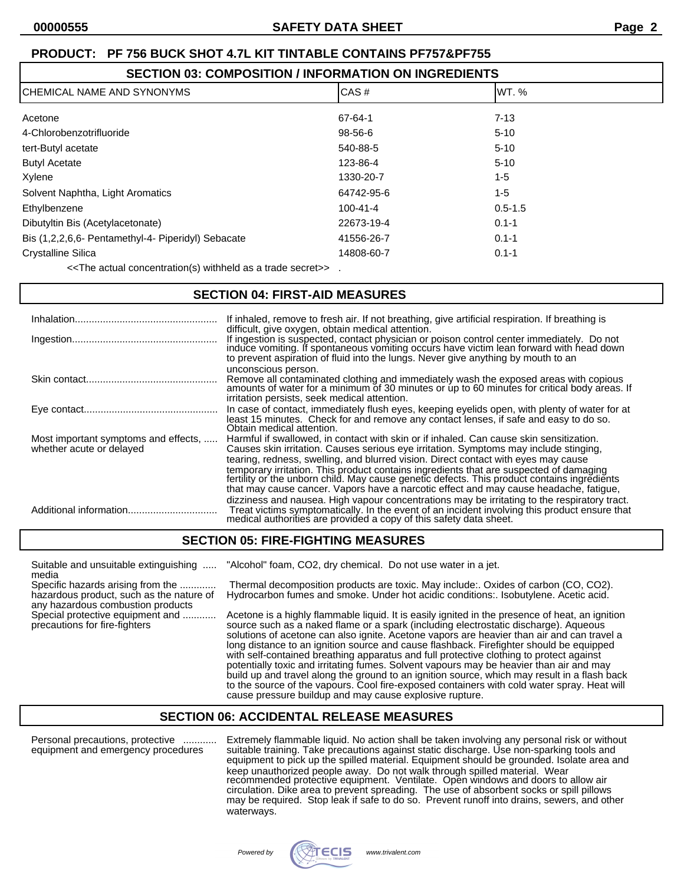## **SECTION 03: COMPOSITION / INFORMATION ON INGREDIENTS**

| CHEMICAL NAME AND SYNONYMS                         | CAS#           | WT. %       |
|----------------------------------------------------|----------------|-------------|
| Acetone                                            | 67-64-1        | $7 - 13$    |
| 4-Chlorobenzotrifluoride                           | 98-56-6        | $5 - 10$    |
| tert-Butyl acetate                                 | 540-88-5       | $5 - 10$    |
| <b>Butyl Acetate</b>                               | 123-86-4       | $5 - 10$    |
| Xylene                                             | 1330-20-7      | $1 - 5$     |
| Solvent Naphtha, Light Aromatics                   | 64742-95-6     | $1 - 5$     |
| Ethylbenzene                                       | $100 - 41 - 4$ | $0.5 - 1.5$ |
| Dibutyltin Bis (Acetylacetonate)                   | 22673-19-4     | $0.1 - 1$   |
| Bis (1,2,2,6,6- Pentamethyl-4- Piperidyl) Sebacate | 41556-26-7     | $0.1 - 1$   |
| <b>Crystalline Silica</b>                          | 14808-60-7     | $0.1 - 1$   |

<<The actual concentration(s) withheld as a trade secret>> .

## **SECTION 04: FIRST-AID MEASURES**

| Inhalation               | If inhaled, remove to fresh air. If not breathing, give artificial respiration. If breathing is<br>difficult, give oxygen, obtain medical attention.<br>If ingestion is suspected, contact physician or poison control center immediately. Do not<br>induce vomiting. If spontaneous vomiting occurs have victim lean forward with head down<br>to prevent aspiration of fluid into the lungs. Never give anything by mouth to an                                                                                                                                                              |
|--------------------------|------------------------------------------------------------------------------------------------------------------------------------------------------------------------------------------------------------------------------------------------------------------------------------------------------------------------------------------------------------------------------------------------------------------------------------------------------------------------------------------------------------------------------------------------------------------------------------------------|
|                          | unconscious person.<br>Remove all contaminated clothing and immediately wash the exposed areas with copious amounts of water for a minimum of 30 minutes or up to 60 minutes for critical body areas. If<br>irritation persists, seek medical attention.                                                                                                                                                                                                                                                                                                                                       |
|                          | In case of contact, immediately flush eyes, keeping eyelids open, with plenty of water for at<br>least 15 minutes. Check for and remove any contact lenses, if safe and easy to do so.<br>Obtain medical attention.                                                                                                                                                                                                                                                                                                                                                                            |
| whether acute or delayed | Most important symptoms and effects,  Harmful if swallowed, in contact with skin or if inhaled. Can cause skin sensitization.<br>Causes skin irritation. Causes serious eye irritation. Symptoms may include stinging,<br>tearing, redness, swelling, and blurred vision. Direct contact with eyes may cause<br>temporary irritation. This product contains ingredients that are suspected of damaging<br>fertility or the unborn child. May cause genetic defects. This product contains ingredients<br>that may cause cancer. Vapors have a narcotic effect and may cause headache, fatigue, |
|                          | dizziness and nausea. High vapour concentrations may be irritating to the respiratory tract.<br>Treat victims symptomatically. In the event of an incident involving this product ensure that<br>medical authorities are provided a copy of this safety data sheet.                                                                                                                                                                                                                                                                                                                            |

## **SECTION 05: FIRE-FIGHTING MEASURES**

media<br>Specific hazards arising from the .............

any hazardous combustion products

Suitable and unsuitable extinguishing ..... "Alcohol" foam, CO2, dry chemical. Do not use water in a jet.

Specific hazards arising from the ............. Thermal decomposition products are toxic. May include:. Oxides of carbon (CO, CO2). Hydrocarbon fumes and smoke. Under hot acidic conditions:. Isobutylene. Acetic acid.

Special protective equipment and ............. Acetone is a highly flammable liquid. It is easily ignited in the presence of heat, an ignition precautions for fire-fighters<br>precautions for fire-fighters source such as a na source such as a naked flame or a spark (including electrostatic discharge). Aqueous solutions of acetone can also ignite. Acetone vapors are heavier than air and can travel a long distance to an ignition source and cause flashback. Firefighter should be equipped with self-contained breathing apparatus and full protective clothing to protect against potentially toxic and irritating fumes. Solvent vapours may be heavier than air and may build up and travel along the ground to an ignition source, which may result in a flash back to the source of the vapours. Cool fire-exposed containers with cold water spray. Heat will cause pressure buildup and may cause explosive rupture.

## **SECTION 06: ACCIDENTAL RELEASE MEASURES**

Personal precautions, protective ............ Extremely flammable liquid. No action shall be taken involving any personal risk or without equipment and emergency procedures suitable training. Take precautions against static discharge. Use non-sparking tools and equipment to pick up the spilled material. Equipment should be grounded. Isolate area and keep unauthorized people away. Do not walk through spilled material. Wear recommended protective equipment. Ventilate. Open windows and doors to allow air circulation. Dike area to prevent spreading. The use of absorbent socks or spill pillows may be required. Stop leak if safe to do so. Prevent runoff into drains, sewers, and other waterways.

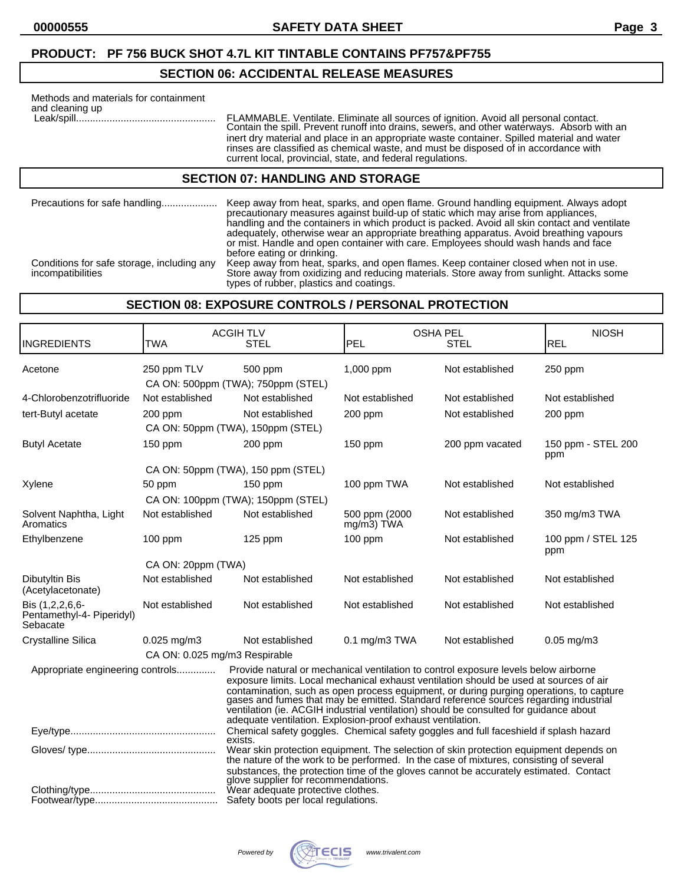## **SECTION 06: ACCIDENTAL RELEASE MEASURES**

| Methods and materials for containment<br>and cleaning up | FLAMMABLE. Ventilate. Eliminate all sources of ignition. Avoid all personal contact.<br>Contain the spill. Prevent runoff into drains, sewers, and other waterways. Absorb with an<br>inert dry material and place in an appropriate waste container. Spilled material and water<br>rinses are classified as chemical waste, and must be disposed of in accordance with<br>current local, provincial, state, and federal regulations. |  |
|----------------------------------------------------------|---------------------------------------------------------------------------------------------------------------------------------------------------------------------------------------------------------------------------------------------------------------------------------------------------------------------------------------------------------------------------------------------------------------------------------------|--|
| <b>SECTION 07: HANDLING AND STORAGE</b>                  |                                                                                                                                                                                                                                                                                                                                                                                                                                       |  |
| Precautions for safe handling                            | Keep away from heat, sparks, and open flame. Ground handling equipment. Always adopt<br>precautionary measures against build-up of static which may arise from appliances.<br>handling and the containers in which product is packed. Avoid all skin contact and ventilate                                                                                                                                                            |  |

or mist. Handle and open container with care. Employees should wash hands and face before eating or drinking. Conditions for safe storage, including any Keep away from heat, sparks, and open flames. Keep container closed when not in use. Conditions for safe storage, including any Keep away from heat, sparks, and open flames. Keep container closed when not in use.<br>Store away from oxidizing and reducing materials. Store away from sunlight. Attacks some types of rubber, plastics and coatings.

adequately, otherwise wear an appropriate breathing apparatus. Avoid breathing vapours

### **SECTION 08: EXPOSURE CONTROLS / PERSONAL PROTECTION**

| <b>INGREDIENTS</b>                                       | TWA                           | <b>ACGIH TLV</b><br><b>STEL</b>                                                                                                                                                                                                                                                                                                                                                                                                                                                                                      | PEL                         | <b>OSHA PEL</b><br><b>STEL</b> | <b>NIOSH</b><br><b>REL</b> |
|----------------------------------------------------------|-------------------------------|----------------------------------------------------------------------------------------------------------------------------------------------------------------------------------------------------------------------------------------------------------------------------------------------------------------------------------------------------------------------------------------------------------------------------------------------------------------------------------------------------------------------|-----------------------------|--------------------------------|----------------------------|
| Acetone                                                  | 250 ppm TLV                   | 500 ppm<br>CA ON: 500ppm (TWA); 750ppm (STEL)                                                                                                                                                                                                                                                                                                                                                                                                                                                                        | 1,000 ppm                   | Not established                | 250 ppm                    |
| 4-Chlorobenzotrifluoride                                 | Not established               | Not established                                                                                                                                                                                                                                                                                                                                                                                                                                                                                                      | Not established             | Not established                | Not established            |
| tert-Butyl acetate                                       | 200 ppm                       | Not established<br>CA ON: 50ppm (TWA), 150ppm (STEL)                                                                                                                                                                                                                                                                                                                                                                                                                                                                 | $200$ ppm                   | Not established                | $200$ ppm                  |
| <b>Butyl Acetate</b>                                     | 150 ppm                       | 200 ppm                                                                                                                                                                                                                                                                                                                                                                                                                                                                                                              | $150$ ppm                   | 200 ppm vacated                | 150 ppm - STEL 200<br>ppm  |
|                                                          |                               | CA ON: 50ppm (TWA), 150 ppm (STEL)                                                                                                                                                                                                                                                                                                                                                                                                                                                                                   |                             |                                |                            |
| Xylene                                                   | 50 ppm                        | $150$ ppm                                                                                                                                                                                                                                                                                                                                                                                                                                                                                                            | 100 ppm TWA                 | Not established                | Not established            |
|                                                          |                               | CA ON: 100ppm (TWA); 150ppm (STEL)                                                                                                                                                                                                                                                                                                                                                                                                                                                                                   |                             |                                |                            |
| Solvent Naphtha, Light<br>Aromatics                      | Not established               | Not established                                                                                                                                                                                                                                                                                                                                                                                                                                                                                                      | 500 ppm (2000<br>mg/m3) TWA | Not established                | 350 mg/m3 TWA              |
| Ethylbenzene                                             | $100$ ppm                     | $125$ ppm                                                                                                                                                                                                                                                                                                                                                                                                                                                                                                            | $100$ ppm                   | Not established                | 100 ppm / STEL 125<br>ppm  |
|                                                          | CA ON: 20ppm (TWA)            |                                                                                                                                                                                                                                                                                                                                                                                                                                                                                                                      |                             |                                |                            |
| Dibutyltin Bis<br>(Acetylacetonate)                      | Not established               | Not established                                                                                                                                                                                                                                                                                                                                                                                                                                                                                                      | Not established             | Not established                | Not established            |
| Bis (1,2,2,6,6-<br>Pentamethyl-4- Piperidyl)<br>Sebacate | Not established               | Not established                                                                                                                                                                                                                                                                                                                                                                                                                                                                                                      | Not established             | Not established                | Not established            |
| Crystalline Silica                                       | $0.025$ mg/m $3$              | Not established                                                                                                                                                                                                                                                                                                                                                                                                                                                                                                      | $0.1$ mg/m $3$ TWA          | Not established                | $0.05$ mg/m $3$            |
|                                                          | CA ON: 0.025 mg/m3 Respirable |                                                                                                                                                                                                                                                                                                                                                                                                                                                                                                                      |                             |                                |                            |
| Appropriate engineering controls                         |                               | Provide natural or mechanical ventilation to control exposure levels below airborne<br>exposure limits. Local mechanical exhaust ventilation should be used at sources of air<br>contamination, such as open process equipment, or during purging operations, to capture gases and fumes that may be emitted. Standard reference sources regarding industrial<br>ventilation (ie. ACGIH industrial ventilation) should be consulted for guidance about<br>adequate ventilation. Explosion-proof exhaust ventilation. |                             |                                |                            |
|                                                          |                               | Chemical safety goggles. Chemical safety goggles and full faceshield if splash hazard<br>exists.                                                                                                                                                                                                                                                                                                                                                                                                                     |                             |                                |                            |
|                                                          |                               | Wear skin protection equipment. The selection of skin protection equipment depends on<br>the nature of the work to be performed. In the case of mixtures, consisting of several<br>substances, the protection time of the gloves cannot be accurately estimated. Contact<br>glove supplier for recommendations.                                                                                                                                                                                                      |                             |                                |                            |
|                                                          |                               | Wear adequate protective clothes.<br>Safety boots per local regulations.                                                                                                                                                                                                                                                                                                                                                                                                                                             |                             |                                |                            |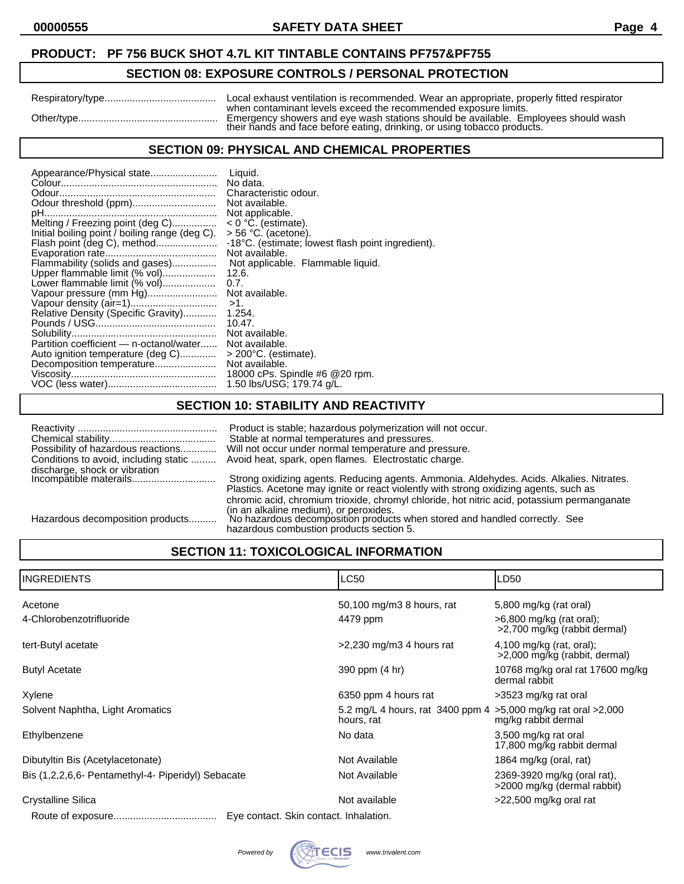## **SECTION 08: EXPOSURE CONTROLS / PERSONAL PROTECTION**

|            | Local exhaust ventilation is recommended. Wear an appropriate, properly fitted respirator                                                                                                                                         |
|------------|-----------------------------------------------------------------------------------------------------------------------------------------------------------------------------------------------------------------------------------|
| Other/type | when contaminant levels exceed the recommended exposure limits.<br>Emergency showers and eye wash stations should be available. Employees should wash<br>their hands and face before eating, drinking, or using tobacco products. |

### **SECTION 09: PHYSICAL AND CHEMICAL PROPERTIES**

## **SECTION 10: STABILITY AND REACTIVITY**

| Conditions to avoid, including static | Product is stable; hazardous polymerization will not occur.<br>Stable at normal temperatures and pressures.<br>Possibility of hazardous reactions Will not occur under normal temperature and pressure.<br>Avoid heat, spark, open flames. Electrostatic charge.                |
|---------------------------------------|---------------------------------------------------------------------------------------------------------------------------------------------------------------------------------------------------------------------------------------------------------------------------------|
|                                       | Strong oxidizing agents. Reducing agents. Ammonia. Aldehydes. Acids. Alkalies. Nitrates.<br>Plastics. Acetone may ignite or react violently with strong oxidizing agents, such as<br>chromic acid, chromium trioxide, chromyl chloride, hot nitric acid, potassium permanganate |
| Hazardous decomposition products      | (in an alkaline medium), or peroxides.<br>No hazardous decomposition products when stored and handled correctly. See<br>hazardous combustion products section 5.                                                                                                                |

## **SECTION 11: TOXICOLOGICAL INFORMATION**

| <b>INGREDIENTS</b>                                 | <b>LC50</b>                                                                   | LD50                                                       |
|----------------------------------------------------|-------------------------------------------------------------------------------|------------------------------------------------------------|
| Acetone                                            | 50,100 mg/m3 8 hours, rat                                                     | 5,800 mg/kg (rat oral)                                     |
| 4-Chlorobenzotrifluoride                           | 4479 ppm                                                                      | $>6,800$ mg/kg (rat oral);<br>>2,700 mg/kg (rabbit dermal) |
| tert-Butyl acetate                                 | $>2,230$ mg/m3 4 hours rat                                                    | 4,100 mg/kg (rat, oral);<br>>2,000 mg/kg (rabbit, dermal)  |
| <b>Butyl Acetate</b>                               | 390 ppm (4 hr)                                                                | 10768 mg/kg oral rat 17600 mg/kg<br>dermal rabbit          |
| Xylene                                             | 6350 ppm 4 hours rat                                                          | >3523 mg/kg rat oral                                       |
| Solvent Naphtha, Light Aromatics                   | 5.2 mg/L 4 hours, rat 3400 ppm 4 > 5,000 mg/kg rat oral > 2,000<br>hours, rat | mg/kg rabbit dermal                                        |
| Ethylbenzene                                       | No data                                                                       | 3,500 mg/kg rat oral<br>17,800 mg/kg rabbit dermal         |
| Dibutyltin Bis (Acetylacetonate)                   | Not Available                                                                 | 1864 mg/kg (oral, rat)                                     |
| Bis (1,2,2,6,6- Pentamethyl-4- Piperidyl) Sebacate | Not Available                                                                 | 2369-3920 mg/kg (oral rat),<br>>2000 mg/kg (dermal rabbit) |
| Crystalline Silica                                 | Not available                                                                 | >22,500 mg/kg oral rat                                     |
|                                                    | Eye contact. Skin contact. Inhalation.                                        |                                                            |

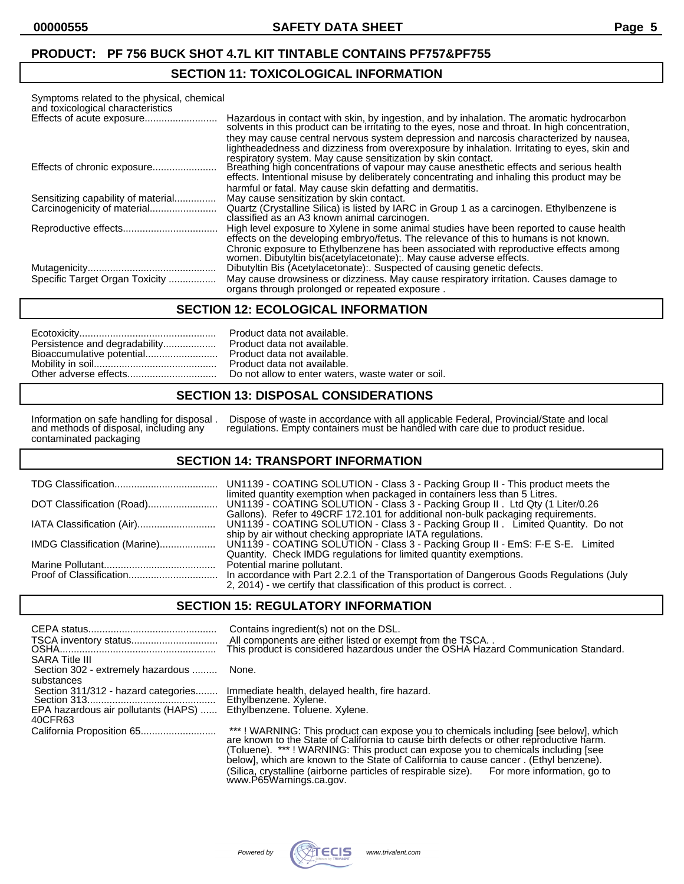### **SECTION 11: TOXICOLOGICAL INFORMATION**

| Symptoms related to the physical, chemical |                                                                                                                                                                                                                                                                                                                                                |
|--------------------------------------------|------------------------------------------------------------------------------------------------------------------------------------------------------------------------------------------------------------------------------------------------------------------------------------------------------------------------------------------------|
| and toxicological characteristics          |                                                                                                                                                                                                                                                                                                                                                |
| Effects of acute exposure                  | Hazardous in contact with skin, by ingestion, and by inhalation. The aromatic hydrocarbon<br>solvents in this product can be irritating to the eyes, nose and throat. In high concentration,                                                                                                                                                   |
|                                            | they may cause central nervous system depression and narcosis characterized by nausea.<br>lightheadedness and dizziness from overexposure by inhalation. Irritating to eyes, skin and<br>respiratory system. May cause sensitization by skin contact.                                                                                          |
|                                            | Breathing high concentrations of vapour may cause anesthetic effects and serious health<br>effects. Intentional misuse by deliberately concentrating and inhaling this product may be                                                                                                                                                          |
|                                            | harmful or fatal. May cause skin defatting and dermatitis.                                                                                                                                                                                                                                                                                     |
| Sensitizing capability of material         | May cause sensitization by skin contact.                                                                                                                                                                                                                                                                                                       |
|                                            | Quartz (Crystalline Silica) is listed by IARC in Group 1 as a carcinogen. Ethylbenzene is<br>classified as an A3 known animal carcinogen.                                                                                                                                                                                                      |
|                                            | High level exposure to Xylene in some animal studies have been reported to cause health<br>effects on the developing embryo/fetus. The relevance of this to humans is not known.<br>Chronic exposure to Ethylbenzene has been associated with reproductive effects among<br>women. Dibutyltin bis(acetylacetonate); May cause adverse effects. |
|                                            | Dibutyltin Bis (Acetylacetonate): Suspected of causing genetic defects.                                                                                                                                                                                                                                                                        |
| Specific Target Organ Toxicity             | May cause drowsiness or dizziness. May cause respiratory irritation. Causes damage to<br>organs through prolonged or repeated exposure.                                                                                                                                                                                                        |

#### **SECTION 12: ECOLOGICAL INFORMATION**

|                               | Pro |
|-------------------------------|-----|
| Persistence and degradability | Pro |
| Bioaccumulative potential     | Pro |
|                               | Pro |
|                               | Do  |

duct data not available. duct data not available. duct data not available. duct data not available. not allow to enter waters, waste water or soil.

#### **SECTION 13: DISPOSAL CONSIDERATIONS**

and methods of disposal, including any<br>contaminated packaging

Information on safe handling for disposal . Dispose of waste in accordance with all applicable Federal, Provincial/State and local and methods of disposal, including any regulations. Empty containers must be handled with care due to product residue.

#### **SECTION 14: TRANSPORT INFORMATION**

|                              | limited quantity exemption when packaged in containers less than 5 Litres.<br>Gallons). Refer to 49CRF 172.101 for additional non-bulk packaging requirements.                                                    |
|------------------------------|-------------------------------------------------------------------------------------------------------------------------------------------------------------------------------------------------------------------|
|                              | UN1139 - COATING SOLUTION - Class 3 - Packing Group II . Limited Quantity. Do not                                                                                                                                 |
| IMDG Classification (Marine) | ship by air without checking appropriate IATA regulations.<br>UN1139 - COATING SOLUTION - Class 3 - Packing Group II - EmS: F-E S-E. Limited<br>Quantity. Check IMDG regulations for limited quantity exemptions. |
|                              | Potential marine pollutant.                                                                                                                                                                                       |
|                              | In accordance with Part 2.2.1 of the Transportation of Dangerous Goods Regulations (July<br>2, 2014) - we certify that classification of this product is correct                                                  |

#### **SECTION 15: REGULATORY INFORMATION**

| <b>SARA Title III</b>                                                                               | Contains ingredient(s) not on the DSL.<br>All components are either listed or exempt from the TSCA. .<br>This product is considered hazardous under the OSHA Hazard Communication Standard. |
|-----------------------------------------------------------------------------------------------------|---------------------------------------------------------------------------------------------------------------------------------------------------------------------------------------------|
| Section 302 - extremely hazardous  None.                                                            |                                                                                                                                                                                             |
| substances<br>Section 311/312 - hazard categories<br>EPA hazardous air pollutants (HAPS)<br>40CFR63 | Immediate health, delayed health, fire hazard.<br>Ethylbenzene. Xylene.<br>Ethylbenzene. Toluene. Xylene.                                                                                   |
|                                                                                                     |                                                                                                                                                                                             |

(Toluene). \*\*\* ! WARNING: This product can expose you to chemicals including [see below], which are known to the State of California to cause cancer . (Ethyl benzene). (Silica, crystalline (airborne particles of respirable size). For more information, go to www.P65Warnings.ca.gov.

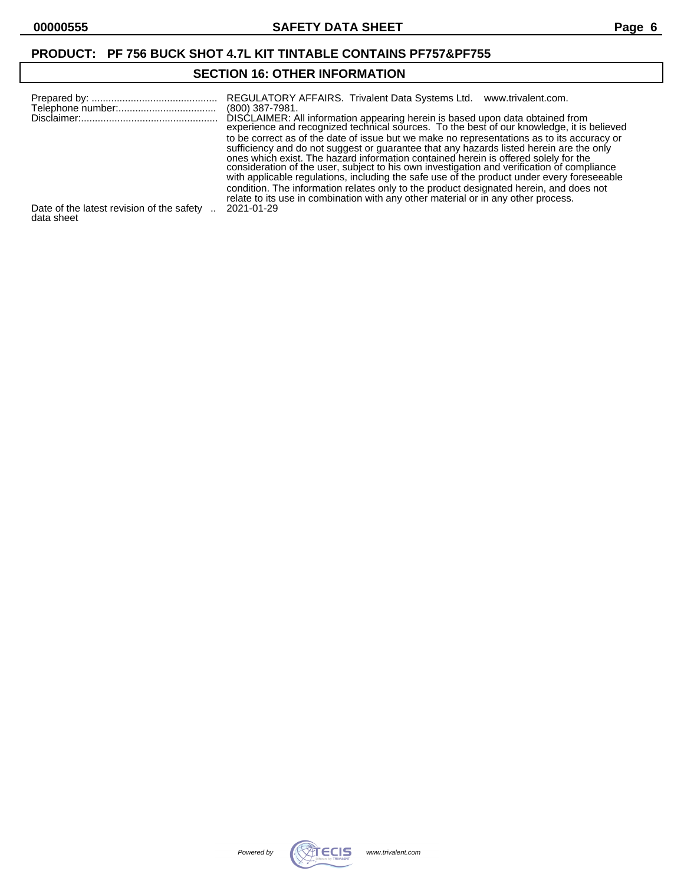## **SECTION 16: OTHER INFORMATION**

|                                                         | REGULATORY AFFAIRS. Trivalent Data Systems Ltd.<br>www.trivalent.com.<br>(800) 387-7981.<br>DISCLAIMER: All information appearing herein is based upon data obtained from<br>experience and recognized technical sources. To the best of our knowledge, it is believed<br>to be correct as of the date of issue but we make no representations as to its accuracy or<br>sufficiency and do not suggest or guarantee that any hazards listed herein are the only<br>ones which exist. The hazard information contained herein is offered solely for the<br>consideration of the user, subject to his own investigation and verification of compliance<br>with applicable regulations, including the safe use of the product under every foreseeable<br>condition. The information relates only to the product designated herein, and does not<br>relate to its use in combination with any other material or in any other process. |
|---------------------------------------------------------|-----------------------------------------------------------------------------------------------------------------------------------------------------------------------------------------------------------------------------------------------------------------------------------------------------------------------------------------------------------------------------------------------------------------------------------------------------------------------------------------------------------------------------------------------------------------------------------------------------------------------------------------------------------------------------------------------------------------------------------------------------------------------------------------------------------------------------------------------------------------------------------------------------------------------------------|
| Date of the latest revision of the safety<br>data sheet | 2021-01-29                                                                                                                                                                                                                                                                                                                                                                                                                                                                                                                                                                                                                                                                                                                                                                                                                                                                                                                        |

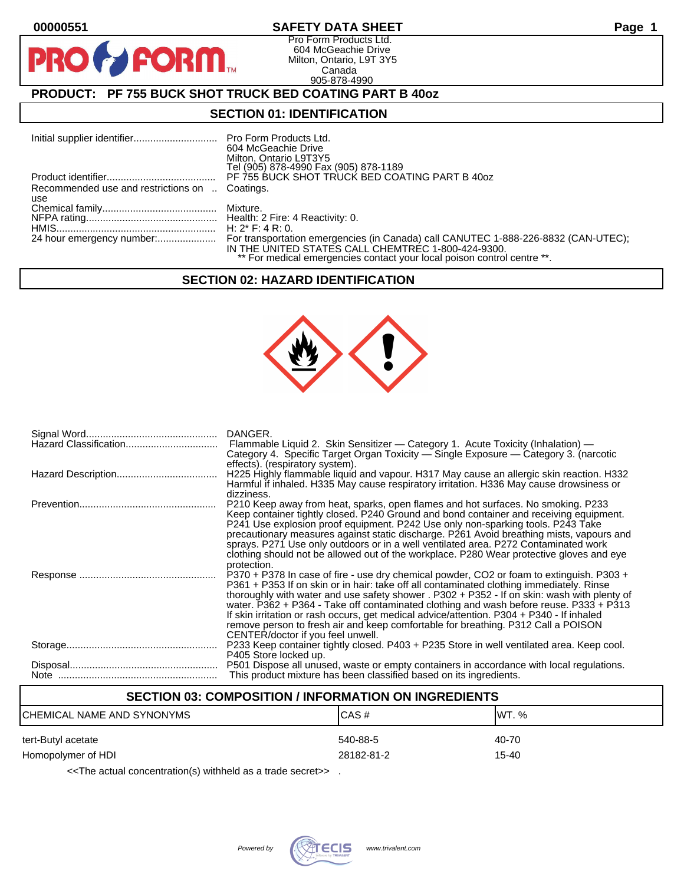**PR** 

## **00000551 SAFETY DATA SHEET Page 1**

Pro Form Products Ltd. 604 McGeachie Drive Milton, Ontario, L9T 3Y5 Canada 905-878-4990

## **PRODUCT: PF 755 BUCK SHOT TRUCK BED COATING PART B 40oz**

**FORM.** 

### **SECTION 01: IDENTIFICATION**

|                                                | 604 McGeachie Drive<br>Milton, Ontario L9T3Y5<br>Tel (905) 878-4990 Fax (905) 878-1189                                        |
|------------------------------------------------|-------------------------------------------------------------------------------------------------------------------------------|
|                                                | PF 755 BUCK SHOT TRUCK BED COATING PART B 40oz                                                                                |
| Recommended use and restrictions on  Coatings. |                                                                                                                               |
| use                                            |                                                                                                                               |
|                                                |                                                                                                                               |
|                                                |                                                                                                                               |
|                                                | H: $2^*$ F: 4 R: 0.                                                                                                           |
|                                                | IN THE UNITED STATES CALL CHEMTREC 1-800-424-9300.<br>** For medical emergencies contact your local poison control centre **. |

#### **SECTION 02: HAZARD IDENTIFICATION**



| DANGER.<br>Flammable Liquid 2. Skin Sensitizer - Category 1. Acute Toxicity (Inhalation) -<br>Category 4. Specific Target Organ Toxicity - Single Exposure - Category 3. (narcotic                                                                                                                                                                                                                                                                                                                                                                                                                   |
|------------------------------------------------------------------------------------------------------------------------------------------------------------------------------------------------------------------------------------------------------------------------------------------------------------------------------------------------------------------------------------------------------------------------------------------------------------------------------------------------------------------------------------------------------------------------------------------------------|
| effects). (respiratory system).<br>H225 Highly flammable liquid and vapour. H317 May cause an allergic skin reaction. H332<br>Harmful if inhaled. H335 May cause respiratory irritation. H336 May cause drowsiness or                                                                                                                                                                                                                                                                                                                                                                                |
| dizziness.<br>P210 Keep away from heat, sparks, open flames and hot surfaces. No smoking. P233<br>Keep container tightly closed. P240 Ground and bond container and receiving equipment.<br>P241 Use explosion proof equipment. P242 Use only non-sparking tools. P243 Take<br>precautionary measures against static discharge. P261 Avoid breathing mists, vapours and<br>sprays. P271 Use only outdoors or in a well ventilated area. P272 Contaminated work<br>clothing should not be allowed out of the workplace. P280 Wear protective gloves and eye<br>protection.                            |
| P370 + P378 In case of fire - use dry chemical powder, CO2 or foam to extinguish. P303 +<br>P361 + P353 If on skin or in hair: take off all contaminated clothing immediately. Rinse<br>thoroughly with water and use safety shower . P302 + P352 - If on skin: wash with plenty of<br>water. P362 + P364 - Take off contaminated clothing and wash before reuse. P333 + P313<br>If skin irritation or rash occurs, get medical advice/attention. P304 + P340 - If inhaled<br>remove person to fresh air and keep comfortable for breathing. P312 Call a POISON<br>CENTER/doctor if you feel unwell. |
| P233 Keep container tightly closed. P403 + P235 Store in well ventilated area. Keep cool.<br>P405 Store locked up.                                                                                                                                                                                                                                                                                                                                                                                                                                                                                   |
| P501 Dispose all unused, waste or empty containers in accordance with local regulations.<br>This product mixture has been classified based on its ingredients.                                                                                                                                                                                                                                                                                                                                                                                                                                       |

## **SECTION 03: COMPOSITION / INFORMATION ON INGREDIENTS**

| ICHEMICAL NAME AND SYNONYMS | CAS#       | IWT. % |
|-----------------------------|------------|--------|
| tert-Butyl acetate          | 540-88-5   | 40-70  |
| Homopolymer of HDI          | 28182-81-2 | 15-40  |

<<The actual concentration(s) withheld as a trade secret>> .

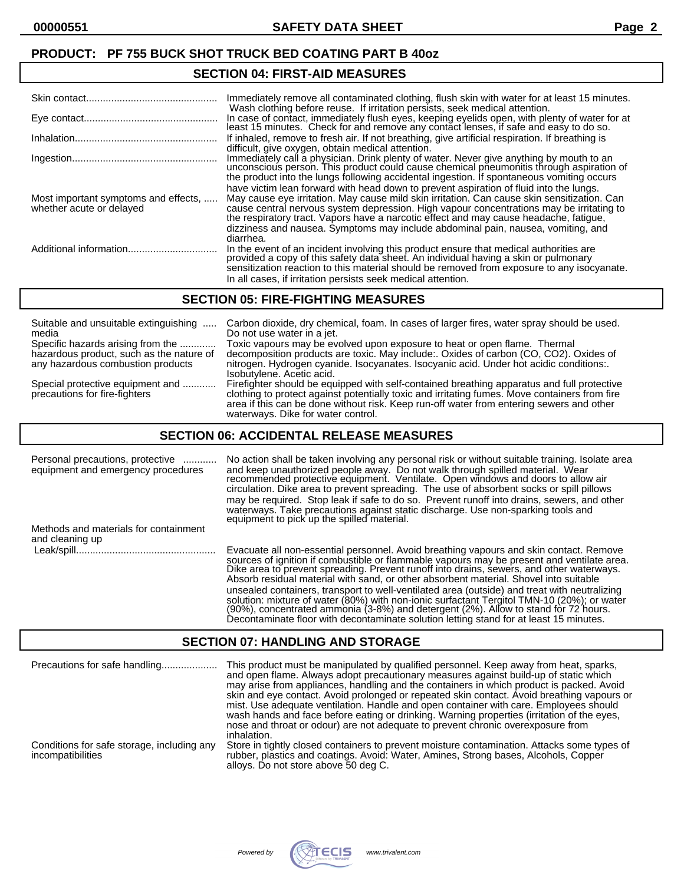## **SECTION 04: FIRST-AID MEASURES**

|                                                                  | Immediately remove all contaminated clothing, flush skin with water for at least 15 minutes.<br>Wash clothing before reuse. If irritation persists, seek medical attention.                                                                                                                                                                                                                                                                                                 |
|------------------------------------------------------------------|-----------------------------------------------------------------------------------------------------------------------------------------------------------------------------------------------------------------------------------------------------------------------------------------------------------------------------------------------------------------------------------------------------------------------------------------------------------------------------|
|                                                                  | In case of contact, immediately flush eyes, keeping eyelids open, with plenty of water for at<br>least 15 minutes. Check for and remove any contact lenses, if safe and easy to do so.                                                                                                                                                                                                                                                                                      |
|                                                                  | If inhaled, remove to fresh air. If not breathing, give artificial respiration. If breathing is<br>difficult, give oxygen, obtain medical attention.                                                                                                                                                                                                                                                                                                                        |
|                                                                  | Immediately call a physician. Drink plenty of water. Never give anything by mouth to an<br>unconscious person. This product could cause chemical pneumonitis through aspiration of<br>the product into the lungs following accidental ingestion. If spontaneous vomiting occurs                                                                                                                                                                                             |
| Most important symptoms and effects,<br>whether acute or delayed | have victim lean forward with head down to prevent aspiration of fluid into the lungs.<br>May cause eye irritation. May cause mild skin irritation. Can cause skin sensitization. Can<br>cause central nervous system depression. High vapour concentrations may be irritating to<br>the respiratory tract. Vapors have a narcotic effect and may cause headache, fatigue,<br>dizziness and nausea. Symptoms may include abdominal pain, nausea, vomiting, and<br>diarrhea. |
|                                                                  | In the event of an incident involving this product ensure that medical authorities are provided a copy of this safety data sheet. An individual having a skin or pulmonary<br>sensitization reaction to this material should be removed from exposure to any isocyanate.<br>In all cases, if irritation persists seek medical attention.                                                                                                                                    |

#### **SECTION 05: FIRE-FIGHTING MEASURES**

| Suitable and unsuitable extinguishing                             | Carbon dioxide, dry chemical, foam. In cases of larger fires, water spray should be used.                                                                                                                                                                                                                                     |
|-------------------------------------------------------------------|-------------------------------------------------------------------------------------------------------------------------------------------------------------------------------------------------------------------------------------------------------------------------------------------------------------------------------|
| media                                                             | Do not use water in a jet.                                                                                                                                                                                                                                                                                                    |
| Specific hazards arising from the                                 | Toxic vapours may be evolved upon exposure to heat or open flame. Thermal                                                                                                                                                                                                                                                     |
| hazardous product, such as the nature of                          | decomposition products are toxic. May include: Oxides of carbon (CO, CO2). Oxides of                                                                                                                                                                                                                                          |
| any hazardous combustion products                                 | nitrogen. Hydrogen cyanide. Isocyanates. Isocyanic acid. Under hot acidic conditions:.<br>Isobutylene. Acetic acid.                                                                                                                                                                                                           |
| Special protective equipment and<br>precautions for fire-fighters | Firefighter should be equipped with self-contained breathing apparatus and full protective<br>clothing to protect against potentially toxic and irritating fumes. Move containers from fire<br>area if this can be done without risk. Keep run-off water from entering sewers and other<br>waterways. Dike for water control. |

### **SECTION 06: ACCIDENTAL RELEASE MEASURES**

| Personal precautions, protective<br>equipment and emergency procedures | No action shall be taken involving any personal risk or without suitable training. Isolate area<br>and keep unauthorized people away. Do not walk through spilled material. Wear<br>recommended protective equipment. Ventilate. Open windows and doors to allow air<br>circulation. Dike area to prevent spreading. The use of absorbent socks or spill pillows<br>may be required. Stop leak if safe to do so. Prevent runoff into drains, sewers, and other<br>waterways. Take precautions against static discharge. Use non-sparking tools and<br>equipment to pick up the spilled material.                                                               |
|------------------------------------------------------------------------|----------------------------------------------------------------------------------------------------------------------------------------------------------------------------------------------------------------------------------------------------------------------------------------------------------------------------------------------------------------------------------------------------------------------------------------------------------------------------------------------------------------------------------------------------------------------------------------------------------------------------------------------------------------|
| Methods and materials for containment<br>and cleaning up               |                                                                                                                                                                                                                                                                                                                                                                                                                                                                                                                                                                                                                                                                |
|                                                                        | Evacuate all non-essential personnel. Avoid breathing vapours and skin contact. Remove<br>sources of ignition if combustible or flammable vapours may be present and ventilate area.<br>Dike area to prevent spreading. Prevent runoff into drains, sewers, and other waterways.<br>Absorb residual material with sand, or other absorbent material. Shovel into suitable<br>unsealed containers, transport to well-ventilated area (outside) and treat with neutralizing<br>solution: mixture of water (80%) with non-ionic surfactant Tergitol TMN-10 (20%); or water<br>(90%), concentrated ammonia (3-8%) and detergent (2%). Allow to stand for 72 hours. |

### **SECTION 07: HANDLING AND STORAGE**

| Precautions for safe handling                                   | This product must be manipulated by qualified personnel. Keep away from heat, sparks,<br>and open flame. Always adopt precautionary measures against build-up of static which<br>may arise from appliances, handling and the containers in which product is packed. Avoid<br>skin and eye contact. Avoid prolonged or repeated skin contact. Avoid breathing vapours or<br>mist. Use adequate ventilation. Handle and open container with care. Employees should<br>wash hands and face before eating or drinking. Warning properties (irritation of the eyes,<br>nose and throat or odour) are not adequate to prevent chronic overexposure from<br>inhalation. |
|-----------------------------------------------------------------|------------------------------------------------------------------------------------------------------------------------------------------------------------------------------------------------------------------------------------------------------------------------------------------------------------------------------------------------------------------------------------------------------------------------------------------------------------------------------------------------------------------------------------------------------------------------------------------------------------------------------------------------------------------|
| Conditions for safe storage, including any<br>incompatibilities | Store in tightly closed containers to prevent moisture contamination. Attacks some types of<br>rubber, plastics and coatings. Avoid: Water, Amines, Strong bases, Alcohols, Copper<br>alloys. Do not store above 50 deg C.                                                                                                                                                                                                                                                                                                                                                                                                                                       |



Decontaminate floor with decontaminate solution letting stand for at least 15 minutes.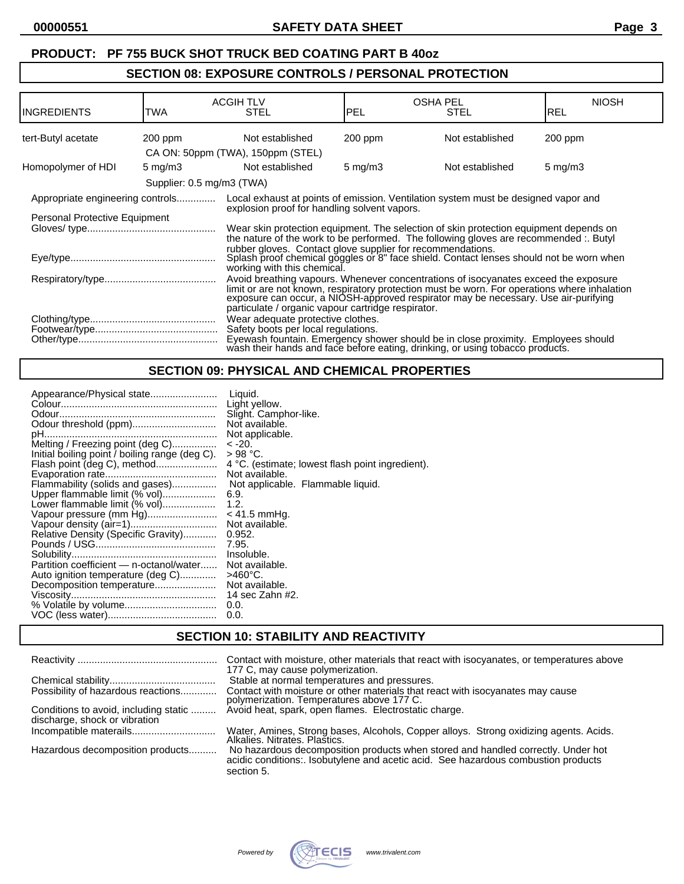## **SECTION 08: EXPOSURE CONTROLS / PERSONAL PROTECTION**

| <b>INGREDIENTS</b>                                                                                                                                                                                                                          | TWA        | <b>ACGIH TLV</b><br><b>STEL</b>                                                                                                                                                                                                                                                                                                  | IPEL             | <b>OSHA PEL</b><br><b>STEL</b> | <b>NIOSH</b><br>REL |
|---------------------------------------------------------------------------------------------------------------------------------------------------------------------------------------------------------------------------------------------|------------|----------------------------------------------------------------------------------------------------------------------------------------------------------------------------------------------------------------------------------------------------------------------------------------------------------------------------------|------------------|--------------------------------|---------------------|
| tert-Butyl acetate                                                                                                                                                                                                                          | $200$ ppm  | Not established                                                                                                                                                                                                                                                                                                                  | $200$ ppm        | Not established                | $200$ ppm           |
|                                                                                                                                                                                                                                             |            | CA ON: 50ppm (TWA), 150ppm (STEL)                                                                                                                                                                                                                                                                                                |                  |                                |                     |
| Homopolymer of HDI                                                                                                                                                                                                                          | 5 mg/m $3$ | Not established                                                                                                                                                                                                                                                                                                                  | $5 \text{ mg/m}$ | Not established                | $5 \text{ mg/m}$ 3  |
|                                                                                                                                                                                                                                             |            | Supplier: 0.5 mg/m3 (TWA)                                                                                                                                                                                                                                                                                                        |                  |                                |                     |
| Appropriate engineering controls                                                                                                                                                                                                            |            | Local exhaust at points of emission. Ventilation system must be designed vapor and                                                                                                                                                                                                                                               |                  |                                |                     |
| Personal Protective Equipment                                                                                                                                                                                                               |            | explosion proof for handling solvent vapors.                                                                                                                                                                                                                                                                                     |                  |                                |                     |
|                                                                                                                                                                                                                                             |            | Wear skin protection equipment. The selection of skin protection equipment depends on<br>the nature of the work to be performed. The following gloves are recommended: Butyl                                                                                                                                                     |                  |                                |                     |
| rubber gloves. Contact glove supplier for recommendations.<br>Splash proof chemical goggles or 8" face shield. Contact lenses should not be worn when<br>working with this chemical.                                                        |            |                                                                                                                                                                                                                                                                                                                                  |                  |                                |                     |
|                                                                                                                                                                                                                                             |            | Avoid breathing vapours. Whenever concentrations of isocyanates exceed the exposure<br>limit or are not known, respiratory protection must be worn. For operations where inhalation<br>exposure can occur, a NIOSH-approved respirator may be necessary. Use air-purifying<br>particulate / organic vapour cartridge respirator. |                  |                                |                     |
| Wear adequate protective clothes.<br>Safety boots per local regulations.<br>Eyewash fountain. Emergency shower should be in close proximity. Employees should wash their hands and face before eating, drinking, or using tobacco products. |            |                                                                                                                                                                                                                                                                                                                                  |                  |                                |                     |

## **SECTION 09: PHYSICAL AND CHEMICAL PROPERTIES**

| Appearance/Physical state<br>Odour threshold (ppm)<br>Melting / Freezing point (deg C)<br>Initial boiling point / boiling range (deg C).<br>Flash point (deg C), method<br>Flammability (solids and gases)<br>Upper flammable limit (% vol)<br>Lower flammable limit (% vol)<br>Vapour pressure (mm Hg)<br>Vapour density (air=1)<br>Relative Density (Specific Gravity) | Liauid.<br>Light yellow.<br>Slight. Camphor-like.<br>Not available.<br>Not applicable.<br>$-20.$<br>$>98$ °C.<br>4 °C. (estimate; lowest flash point ingredient).<br>Not available.<br>Not applicable. Flammable liquid.<br>6.9.<br>1.2.<br>$< 41.5$ mmHq.<br>Not available.<br>0.952.<br>7.95. |
|--------------------------------------------------------------------------------------------------------------------------------------------------------------------------------------------------------------------------------------------------------------------------------------------------------------------------------------------------------------------------|-------------------------------------------------------------------------------------------------------------------------------------------------------------------------------------------------------------------------------------------------------------------------------------------------|
|                                                                                                                                                                                                                                                                                                                                                                          |                                                                                                                                                                                                                                                                                                 |
|                                                                                                                                                                                                                                                                                                                                                                          |                                                                                                                                                                                                                                                                                                 |
|                                                                                                                                                                                                                                                                                                                                                                          |                                                                                                                                                                                                                                                                                                 |
|                                                                                                                                                                                                                                                                                                                                                                          | Insoluble.                                                                                                                                                                                                                                                                                      |
| Partition coefficient - n-octanol/water<br>Auto ignition temperature (deg C)                                                                                                                                                                                                                                                                                             | Not available.<br>>460°C.                                                                                                                                                                                                                                                                       |
| Decomposition temperature                                                                                                                                                                                                                                                                                                                                                | Not available.                                                                                                                                                                                                                                                                                  |
|                                                                                                                                                                                                                                                                                                                                                                          | 14 sec Zahn #2.<br>0.0.                                                                                                                                                                                                                                                                         |
|                                                                                                                                                                                                                                                                                                                                                                          | 0.0.                                                                                                                                                                                                                                                                                            |

## **SECTION 10: STABILITY AND REACTIVITY**

|                                                                        | Contact with moisture, other materials that react with isocyanates, or temperatures above<br>177 C, may cause polymerization.                                                        |
|------------------------------------------------------------------------|--------------------------------------------------------------------------------------------------------------------------------------------------------------------------------------|
|                                                                        | Stable at normal temperatures and pressures.                                                                                                                                         |
| Possibility of hazardous reactions                                     | Contact with moisture or other materials that react with isocyanates may cause<br>polymerization. Temperatures above 177 C.                                                          |
| Conditions to avoid, including static<br>discharge, shock or vibration | Avoid heat, spark, open flames. Electrostatic charge.                                                                                                                                |
|                                                                        | Water, Amines, Strong bases, Alcohols, Copper alloys. Strong oxidizing agents. Acids.<br>Alkalies. Nitrates. Plastics.                                                               |
| Hazardous decomposition products                                       | No hazardous decomposition products when stored and handled correctly. Under hot<br>acidic conditions:. Isobutylene and acetic acid. See hazardous combustion products<br>section 5. |

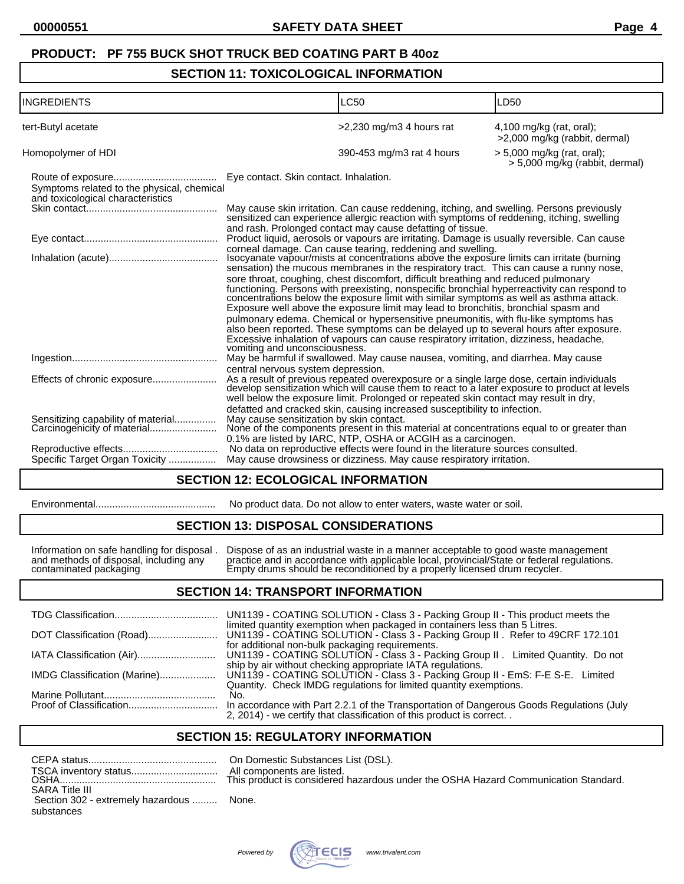### **SECTION 11: TOXICOLOGICAL INFORMATION**

| <b>INGREDIENTS</b>                                                              | <b>LC50</b>                                                                                                                                                                                                                                                                                                                                                                                                                                                                                                                                                                                                                                                                                                                                                                                                                                                                                                                     | LD50                                                           |
|---------------------------------------------------------------------------------|---------------------------------------------------------------------------------------------------------------------------------------------------------------------------------------------------------------------------------------------------------------------------------------------------------------------------------------------------------------------------------------------------------------------------------------------------------------------------------------------------------------------------------------------------------------------------------------------------------------------------------------------------------------------------------------------------------------------------------------------------------------------------------------------------------------------------------------------------------------------------------------------------------------------------------|----------------------------------------------------------------|
| tert-Butyl acetate                                                              | $>2,230$ mg/m3 4 hours rat                                                                                                                                                                                                                                                                                                                                                                                                                                                                                                                                                                                                                                                                                                                                                                                                                                                                                                      | $4,100$ mg/kg (rat, oral);<br>>2,000 mg/kg (rabbit, dermal)    |
| Homopolymer of HDI                                                              | 390-453 mg/m3 rat 4 hours                                                                                                                                                                                                                                                                                                                                                                                                                                                                                                                                                                                                                                                                                                                                                                                                                                                                                                       | $> 5,000$ mg/kg (rat, oral);<br>> 5,000 mg/kg (rabbit, dermal) |
| Symptoms related to the physical, chemical<br>and toxicological characteristics | Eye contact. Skin contact. Inhalation.                                                                                                                                                                                                                                                                                                                                                                                                                                                                                                                                                                                                                                                                                                                                                                                                                                                                                          |                                                                |
|                                                                                 | May cause skin irritation. Can cause reddening, itching, and swelling. Persons previously sensitized can experience allergic reaction with symptoms of reddening, itching, swelling<br>and rash. Prolonged contact may cause defatting of tissue.                                                                                                                                                                                                                                                                                                                                                                                                                                                                                                                                                                                                                                                                               |                                                                |
|                                                                                 | Product liquid, aerosols or vapours are irritating. Damage is usually reversible. Can cause                                                                                                                                                                                                                                                                                                                                                                                                                                                                                                                                                                                                                                                                                                                                                                                                                                     |                                                                |
|                                                                                 | corneal damage. Can cause tearing, reddening and swelling.<br>Isocyanate vapour/mists at concentrations above the exposure limits can irritate (burning<br>sensation) the mucous membranes in the respiratory tract. This can cause a runny nose,<br>sore throat, coughing, chest discomfort, difficult breathing and reduced pulmonary<br>functioning. Persons with preexisting, nonspecific bronchial hyperreactivity can respond to concentrations below the exposure limit with similar symptoms as well as asthma attack.<br>Exposure well above the exposure limit may lead to bronchitis, bronchial spasm and<br>pulmonary edema. Chemical or hypersensitive pneumonitis, with flu-like symptoms has<br>also been reported. These symptoms can be delayed up to several hours after exposure.<br>Excessive inhalation of vapours can cause respiratory irritation, dizziness, headache,<br>vomiting and unconsciousness. |                                                                |
|                                                                                 | May be harmful if swallowed. May cause nausea, vomiting, and diarrhea. May cause<br>central nervous system depression.                                                                                                                                                                                                                                                                                                                                                                                                                                                                                                                                                                                                                                                                                                                                                                                                          |                                                                |
| Effects of chronic exposure                                                     | As a result of previous repeated overexposure or a single large dose, certain individuals develop sensitization which will cause them to react to a later exposure to product at levels<br>well below the exposure limit. Prolonged or repeated skin contact may result in dry,<br>defatted and cracked skin, causing increased susceptibility to infection.                                                                                                                                                                                                                                                                                                                                                                                                                                                                                                                                                                    |                                                                |
| Sensitizing capability of material<br>Carcinogenicity of material               | May cause sensitization by skin contact.<br>None of the components present in this material at concentrations equal to or greater than<br>0.1% are listed by IARC, NTP, OSHA or ACGIH as a carcinogen.                                                                                                                                                                                                                                                                                                                                                                                                                                                                                                                                                                                                                                                                                                                          |                                                                |
|                                                                                 | No data on reproductive effects were found in the literature sources consulted.                                                                                                                                                                                                                                                                                                                                                                                                                                                                                                                                                                                                                                                                                                                                                                                                                                                 |                                                                |
| Specific Target Organ Toxicity                                                  | May cause drowsiness or dizziness. May cause respiratory irritation.                                                                                                                                                                                                                                                                                                                                                                                                                                                                                                                                                                                                                                                                                                                                                                                                                                                            |                                                                |

## **SECTION 12: ECOLOGICAL INFORMATION**

| Environmental |
|---------------|
|---------------|

Environmental........................................... No product data. Do not allow to enter waters, waste water or soil.

## **SECTION 13: DISPOSAL CONSIDERATIONS**

Information on safe handling for disposal . Dispose of as an industrial waste in a manner acceptable to good waste management and methods of disposal, including any practice and in accordance with applicable local, provincial/State or federal regulations. contaminated packaging Empty drums should be reconditioned by a properly licensed drum recycler.

#### **SECTION 14: TRANSPORT INFORMATION**

| UN1139 - COATING SOLUTION - Class 3 - Packing Group II - This product meets the                                                                                                                                                                 |
|-------------------------------------------------------------------------------------------------------------------------------------------------------------------------------------------------------------------------------------------------|
| limited quantity exemption when packaged in containers less than 5 Litres.                                                                                                                                                                      |
| for additional non-bulk packaging requirements.<br>UN1139 - COATING SOLUTION - Class 3 - Packing Group II. Limited Quantity. Do not                                                                                                             |
| ship by air without checking appropriate IATA regulations.<br>UN1139 - COATING SOLUTION - Class 3 - Packing Group II - EmS: F-E S-E. Limited<br>IMDG Classification (Marine)                                                                    |
| Quantity. Check IMDG regulations for limited quantity exemptions.<br>No.<br>In accordance with Part 2.2.1 of the Transportation of Dangerous Goods Regulations (July<br>2, 2014) - we certify that classification of this product is correct. . |
|                                                                                                                                                                                                                                                 |

## **SECTION 15: REGULATORY INFORMATION**

|                                          | All con |
|------------------------------------------|---------|
|                                          |         |
| <b>SARA Title III</b>                    |         |
| Section 302 - extremely hazardous  None. |         |
| substances                               |         |

On Domestic Substances List (DSL). All components are listed. his product is considered hazardous under the OSHA Hazard Communication Standard.